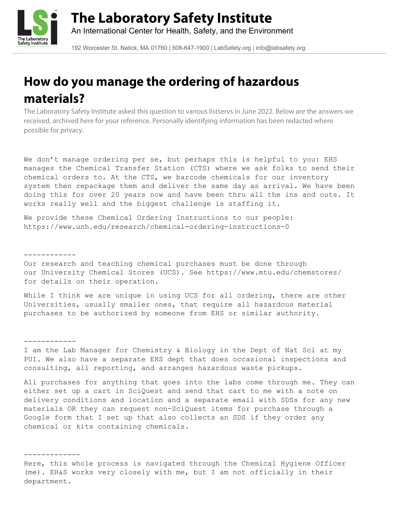

192 Worcester St. Natick, MA 01760 | 508-647-1900 | LabSafety.org | info@labsafety.org

# **How do you manage the ordering of hazardous materials?**

The Laboratory Safety Institute asked this question to various listservs in June 2022. Below are the answers we received, archived here for your reference. Personally identifying information has been redacted where possible for privacy.

We don't manage ordering per se, but perhaps this is helpful to you: EHS manages the Chemical Transfer Station (CTS) where we ask folks to send their chemical orders to. At the CTS, we barcode chemicals for our inventory system then repackage them and deliver the same day as arrival. We have been doing this for over 20 years now and have been thru all the ins and outs. It works really well and the biggest challenge is staffing it.

We provide these Chemical Ordering Instructions to our people: https://www.unh.edu/research/chemical-ordering-instructions-0

------------

Our research and teaching chemical purchases must be done through our University Chemical Stores (UCS). See https://www.mtu.edu/chemstores/ for details on their operation.

While I think we are unique in using UCS for all ordering, there are other Universities, usually smaller ones, that require all hazardous material purchases to be authorized by someone from EHS or similar authority.

------------

I am the Lab Manager for Chemistry & Biology in the Dept of Nat Sci at my PUI. We also have a separate EHS dept that does occasional inspections and consulting, all reporting, and arranges hazardous waste pickups.

All purchases for anything that goes into the labs come through me. They can either set up a cart in SciQuest and send that cart to me with a note on delivery conditions and location and a separate email with SDSs for any new materials OR they can request non-SciQuest items for purchase through a Google form that I set up that also collects an SDS if they order any chemical or kits containing chemicals.

-------------

Here, this whole process is navigated through the Chemical Hygiene Officer (me). EH&S works very closely with me, but I am not officially in their department.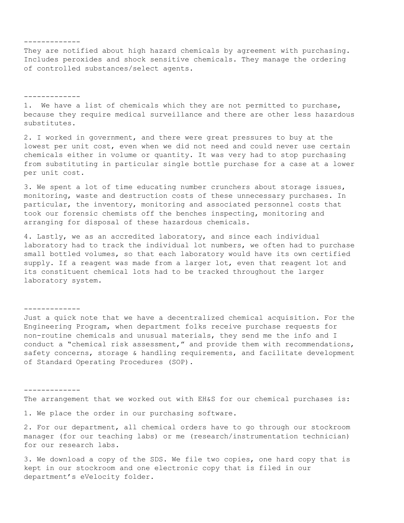## -------------

They are notified about high hazard chemicals by agreement with purchasing. Includes peroxides and shock sensitive chemicals. They manage the ordering of controlled substances/select agents.

-------------

1. We have a list of chemicals which they are not permitted to purchase, because they require medical surveillance and there are other less hazardous substitutes.

2. I worked in government, and there were great pressures to buy at the lowest per unit cost, even when we did not need and could never use certain chemicals either in volume or quantity. It was very had to stop purchasing from substituting in particular single bottle purchase for a case at a lower per unit cost.

3. We spent a lot of time educating number crunchers about storage issues, monitoring, waste and destruction costs of these unnecessary purchases. In particular, the inventory, monitoring and associated personnel costs that took our forensic chemists off the benches inspecting, monitoring and arranging for disposal of these hazardous chemicals.

4. Lastly, we as an accredited laboratory, and since each individual laboratory had to track the individual lot numbers, we often had to purchase small bottled volumes, so that each laboratory would have its own certified supply. If a reagent was made from a larger lot, even that reagent lot and its constituent chemical lots had to be tracked throughout the larger laboratory system.

-------------

Just a quick note that we have a decentralized chemical acquisition. For the Engineering Program, when department folks receive purchase requests for non-routine chemicals and unusual materials, they send me the info and I conduct a "chemical risk assessment," and provide them with recommendations, safety concerns, storage & handling requirements, and facilitate development of Standard Operating Procedures (SOP).

#### -------------

The arrangement that we worked out with EH&S for our chemical purchases is:

1. We place the order in our purchasing software.

2. For our department, all chemical orders have to go through our stockroom manager (for our teaching labs) or me (research/instrumentation technician) for our research labs.

3. We download a copy of the SDS. We file two copies, one hard copy that is kept in our stockroom and one electronic copy that is filed in our department's eVelocity folder.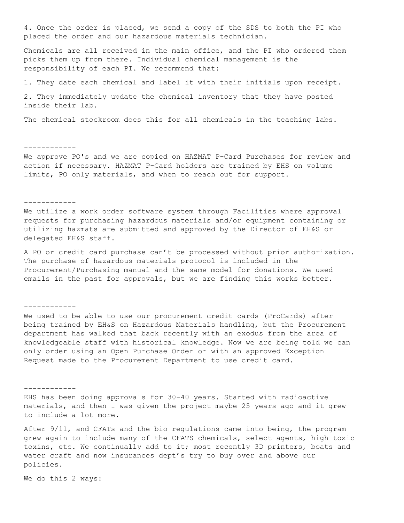4. Once the order is placed, we send a copy of the SDS to both the PI who placed the order and our hazardous materials technician.

Chemicals are all received in the main office, and the PI who ordered them picks them up from there. Individual chemical management is the responsibility of each PI. We recommend that:

1. They date each chemical and label it with their initials upon receipt.

2. They immediately update the chemical inventory that they have posted inside their lab.

The chemical stockroom does this for all chemicals in the teaching labs.

### ------------

We approve PO's and we are copied on HAZMAT P-Card Purchases for review and action if necessary. HAZMAT P-Card holders are trained by EHS on volume limits, PO only materials, and when to reach out for support.

#### ------------

We utilize a work order software system through Facilities where approval requests for purchasing hazardous materials and/or equipment containing or utilizing hazmats are submitted and approved by the Director of EH&S or delegated EH&S staff.

A PO or credit card purchase can't be processed without prior authorization. The purchase of hazardous materials protocol is included in the Procurement/Purchasing manual and the same model for donations. We used emails in the past for approvals, but we are finding this works better.

------------

We used to be able to use our procurement credit cards (ProCards) after being trained by EH&S on Hazardous Materials handling, but the Procurement department has walked that back recently with an exodus from the area of knowledgeable staff with historical knowledge. Now we are being told we can only order using an Open Purchase Order or with an approved Exception Request made to the Procurement Department to use credit card.

#### ------------

EHS has been doing approvals for 30-40 years. Started with radioactive materials, and then I was given the project maybe 25 years ago and it grew to include a lot more.

After 9/11, and CFATs and the bio regulations came into being, the program grew again to include many of the CFATS chemicals, select agents, high toxic toxins, etc. We continually add to it; most recently 3D printers, boats and water craft and now insurances dept's try to buy over and above our policies.

We do this 2 ways: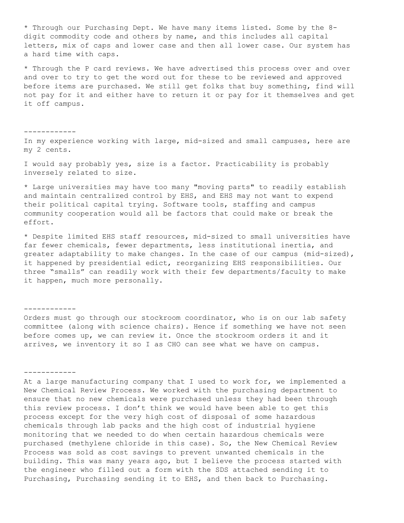\* Through our Purchasing Dept. We have many items listed. Some by the 8 digit commodity code and others by name, and this includes all capital letters, mix of caps and lower case and then all lower case. Our system has a hard time with caps.

\* Through the P card reviews. We have advertised this process over and over and over to try to get the word out for these to be reviewed and approved before items are purchased. We still get folks that buy something, find will not pay for it and either have to return it or pay for it themselves and get it off campus.

In my experience working with large, mid-sized and small campuses, here are my 2 cents.

I would say probably yes, size is a factor. Practicability is probably inversely related to size.

\* Large universities may have too many "moving parts" to readily establish and maintain centralized control by EHS, and EHS may not want to expend their political capital trying. Software tools, staffing and campus community cooperation would all be factors that could make or break the effort.

\* Despite limited EHS staff resources, mid-sized to small universities have far fewer chemicals, fewer departments, less institutional inertia, and greater adaptability to make changes. In the case of our campus (mid-sized), it happened by presidential edict, reorganizing EHS responsibilities. Our three "smalls" can readily work with their few departments/faculty to make it happen, much more personally.

------------

------------

Orders must go through our stockroom coordinator, who is on our lab safety committee (along with science chairs). Hence if something we have not seen before comes up, we can review it. Once the stockroom orders it and it arrives, we inventory it so I as CHO can see what we have on campus.

# ------------

At a large manufacturing company that I used to work for, we implemented a New Chemical Review Process. We worked with the purchasing department to ensure that no new chemicals were purchased unless they had been through this review process. I don't think we would have been able to get this process except for the very high cost of disposal of some hazardous chemicals through lab packs and the high cost of industrial hygiene monitoring that we needed to do when certain hazardous chemicals were purchased (methylene chloride in this case). So, the New Chemical Review Process was sold as cost savings to prevent unwanted chemicals in the building. This was many years ago, but I believe the process started with the engineer who filled out a form with the SDS attached sending it to Purchasing, Purchasing sending it to EHS, and then back to Purchasing.